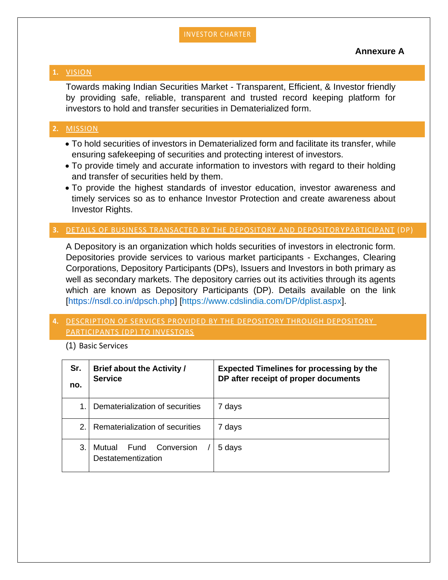#### INVESTOR CHARTER

#### **Annexure A**

#### **1.** VISION

Towards making Indian Securities Market - Transparent, Efficient, & Investor friendly by providing safe, reliable, transparent and trusted record keeping platform for investors to hold and transfer securities in Dematerialized form.

#### **2.** MISSION

- To hold securities of investors in Dematerialized form and facilitate its transfer, while ensuring safekeeping of securities and protecting interest of investors.
- To provide timely and accurate information to investors with regard to their holding and transfer of securities held by them.
- To provide the highest standards of investor education, investor awareness and timely services so as to enhance Investor Protection and create awareness about Investor Rights.

#### **3.** DETAILS OF BUSINESS TRANSACTED BY THE DEPOSITORY AND DEPOSITOR YPARTICIPANT (DP)

A Depository is an organization which holds securities of investors in electronic form. Depositories provide services to various market participants - Exchanges, Clearing Corporations, Depository Participants (DPs), Issuers and Investors in both primary as well as secondary markets. The depository carries out its activities through its agents which are known as Depository Participants (DP). Details available on the link [\[https://nsdl.co.in/dpsch.php\]](https://nsdl.co.in/dpsch.php) [https://www.cdslindia.com/DP/dplist.aspx].

#### **4.** DESCRIPTION OF SERVICES PROVIDED BY THE DEPOSITORY THROUGH DEPOSITORY PARTICIPANTS (DP) TO INVESTORS

(1) Basic Services

| Sr.<br>no.  | <b>Brief about the Activity /</b><br><b>Service</b> | <b>Expected Timelines for processing by the</b><br>DP after receipt of proper documents |
|-------------|-----------------------------------------------------|-----------------------------------------------------------------------------------------|
|             |                                                     |                                                                                         |
| $\mathbf 1$ | Dematerialization of securities                     | 7 days                                                                                  |
| 2.          | Rematerialization of securities                     | 7 days                                                                                  |
| 3.          | Conversion<br>Mutual<br>Fund<br>Destatementization  | 5 days                                                                                  |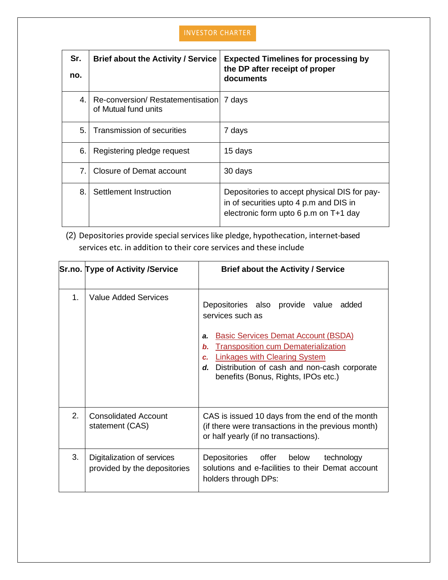| Sr.<br>no.     | <b>Brief about the Activity / Service</b>                | <b>Expected Timelines for processing by</b><br>the DP after receipt of proper<br>documents                                      |
|----------------|----------------------------------------------------------|---------------------------------------------------------------------------------------------------------------------------------|
| 4.             | Re-conversion/Restatementisation<br>of Mutual fund units | 7 days                                                                                                                          |
| 5.             | <b>Transmission of securities</b>                        | 7 days                                                                                                                          |
| 6.             | Registering pledge request                               | 15 days                                                                                                                         |
| 7 <sub>1</sub> | Closure of Demat account                                 | 30 days                                                                                                                         |
| 8.             | Settlement Instruction                                   | Depositories to accept physical DIS for pay-<br>in of securities upto 4 p.m and DIS in<br>electronic form upto 6 p.m on T+1 day |

(2) Depositories provide special services like pledge, hypothecation, internet-based services etc. in addition to their core services and these include

|    | <b>Sr.no. Type of Activity /Service</b>                    | <b>Brief about the Activity / Service</b>                                                                                                                                                                                                                                                                              |
|----|------------------------------------------------------------|------------------------------------------------------------------------------------------------------------------------------------------------------------------------------------------------------------------------------------------------------------------------------------------------------------------------|
| 1. | Value Added Services                                       | Depositories also provide value added<br>services such as<br><b>Basic Services Demat Account (BSDA)</b><br>a.<br><b>Transposition cum Dematerialization</b><br>$\mathbf b$ .<br><b>Linkages with Clearing System</b><br>c.<br>Distribution of cash and non-cash corporate<br>d.<br>benefits (Bonus, Rights, IPOs etc.) |
| 2. | <b>Consolidated Account</b><br>statement (CAS)             | CAS is issued 10 days from the end of the month<br>(if there were transactions in the previous month)<br>or half yearly (if no transactions).                                                                                                                                                                          |
| 3. | Digitalization of services<br>provided by the depositories | Depositories<br>offer<br>below<br>technology<br>solutions and e-facilities to their Demat account<br>holders through DPs:                                                                                                                                                                                              |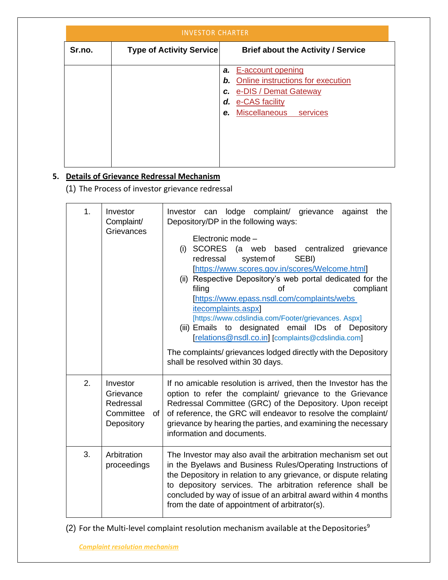| <b>INVESTOR CHARTER</b> |                                 |                                           |
|-------------------------|---------------------------------|-------------------------------------------|
| Sr.no.                  | <b>Type of Activity Service</b> | <b>Brief about the Activity / Service</b> |
|                         |                                 | E-account opening<br>а.                   |
|                         |                                 | Online instructions for execution<br>b.   |
|                         |                                 | c. e-DIS / Demat Gateway                  |
|                         |                                 | d. e-CAS facility                         |
|                         |                                 | Miscellaneous services<br>e.              |
|                         |                                 |                                           |
|                         |                                 |                                           |
|                         |                                 |                                           |
|                         |                                 |                                           |
|                         |                                 |                                           |

## **5. Details of Grievance Redressal Mechanism**

(1) The Process of investor grievance redressal

| 1. | Investor<br>Complaint/<br>Grievances                                | lodge complaint/ grievance<br>against<br>the<br>Investor<br>can<br>Depository/DP in the following ways:<br>Electronic mode -<br>SCORES (a web based centralized<br>(i)<br>grievance<br>redressal<br>system of<br>SEBI)<br>[https://www.scores.gov.in/scores/Welcome.html]<br>(ii) Respective Depository's web portal dedicated for the<br>compliant<br>filing<br>οf<br>[https://www.epass.nsdl.com/complaints/webs<br><i>itecomplaints.aspx</i><br>[https://www.cdslindia.com/Footer/grievances. Aspx]<br>(iii) Emails to designated email IDs of Depository<br>[relations@nsdl.co.in] [complaints@cdslindia.com]<br>The complaints/ grievances lodged directly with the Depository<br>shall be resolved within 30 days. |
|----|---------------------------------------------------------------------|--------------------------------------------------------------------------------------------------------------------------------------------------------------------------------------------------------------------------------------------------------------------------------------------------------------------------------------------------------------------------------------------------------------------------------------------------------------------------------------------------------------------------------------------------------------------------------------------------------------------------------------------------------------------------------------------------------------------------|
| 2. | Investor<br>Grievance<br>Redressal<br>Committee<br>of<br>Depository | If no amicable resolution is arrived, then the Investor has the<br>option to refer the complaint/ grievance to the Grievance<br>Redressal Committee (GRC) of the Depository. Upon receipt<br>of reference, the GRC will endeavor to resolve the complaint/<br>grievance by hearing the parties, and examining the necessary<br>information and documents.                                                                                                                                                                                                                                                                                                                                                                |
| 3. | Arbitration<br>proceedings                                          | The Investor may also avail the arbitration mechanism set out<br>in the Byelaws and Business Rules/Operating Instructions of<br>the Depository in relation to any grievance, or dispute relating<br>to depository services. The arbitration reference shall be<br>concluded by way of issue of an arbitral award within 4 months<br>from the date of appointment of arbitrator(s).                                                                                                                                                                                                                                                                                                                                       |

(2) For the Multi-level complaint resolution mechanism available at the Depositories<sup>9</sup>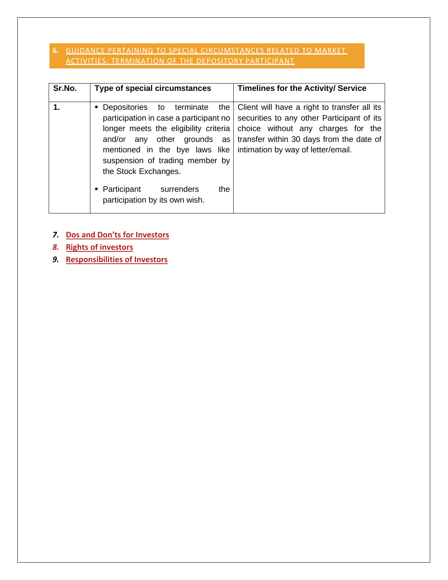#### **6.** GUIDANCE PERTAINING TO SPECIAL CIRCUMSTANCES RELATED TO MARKET ACTIVITIES: TERMINATION OF THE DEPOSITORY PARTICIPANT

| Sr.No. |
|--------|
| 1.     |

## *7.* **[Dos and Don'ts for Investors](#page-7-0)**

*8.* **[Rights of investors](#page-8-0)**

*9.* **[Responsibilities of Investors](#page-9-0)**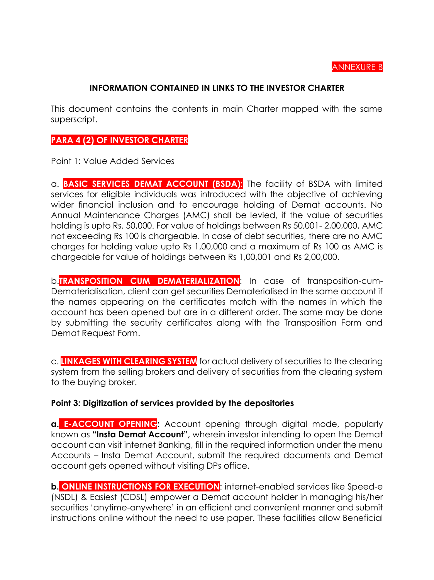#### ANNEXURE B

#### **INFORMATION CONTAINED IN LINKS TO THE INVESTOR CHARTER**

This document contains the contents in main Charter mapped with the same superscript.

## **PARA 4 (2) OF INVESTOR CHARTER**

Point 1: Value Added Services

a. **BASIC SERVICES DEMAT ACCOUNT (BSDA):** The facility of BSDA with limited services for eligible individuals was introduced with the objective of achieving wider financial inclusion and to encourage holding of Demat accounts. No Annual Maintenance Charges (AMC) shall be levied, if the value of securities holding is upto Rs. 50,000. For value of holdings between Rs 50,001- 2,00,000, AMC not exceeding Rs 100 is chargeable. In case of debt securities, there are no AMC charges for holding value upto Rs 1,00,000 and a maximum of Rs 100 as AMC is chargeable for value of holdings between Rs 1,00,001 and Rs 2,00,000.

b.**TRANSPOSITION CUM DEMATERIALIZATION**: In case of transposition-cum-Dematerialisation, client can get securities Dematerialised in the same account if the names appearing on the certificates match with the names in which the account has been opened but are in a different order. The same may be done by submitting the security certificates along with the Transposition Form and Demat Request Form.

c. **LINKAGES WITH CLEARING SYSTEM** for actual delivery of securities to the clearing system from the selling brokers and delivery of securities from the clearing system to the buying broker.

#### **Point 3: Digitization of services provided by the depositories**

**a. E-ACCOUNT OPENING:** Account opening through digital mode, popularly known as **"Insta Demat Account",** wherein investor intending to open the Demat account can visit internet Banking, fill in the required information under the menu Accounts – Insta Demat Account, submit the required documents and Demat account gets opened without visiting DPs office.

**b. ONLINE INSTRUCTIONS FOR EXECUTION**: internet-enabled services like Speed-e (NSDL) & Easiest (CDSL) empower a Demat account holder in managing his/her securities 'anytime-anywhere' in an efficient and convenient manner and submit instructions online without the need to use paper. These facilities allow Beneficial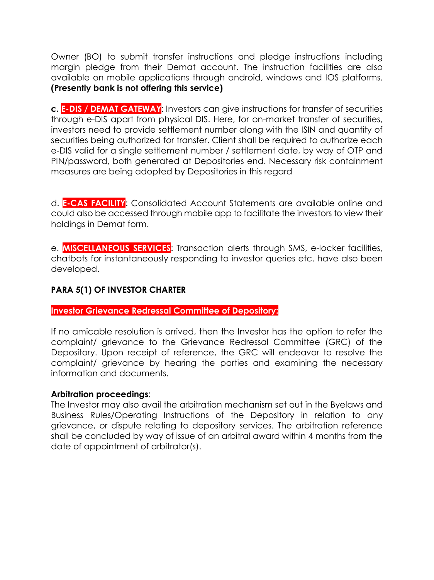Owner (BO) to submit transfer instructions and pledge instructions including margin pledge from their Demat account. The instruction facilities are also available on mobile applications through android, windows and IOS platforms. **(Presently bank is not offering this service)** 

**c. E-DIS / DEMAT GATEWAY**: Investors can give instructions for transfer of securities through e-DIS apart from physical DIS. Here, for on-market transfer of securities, investors need to provide settlement number along with the ISIN and quantity of securities being authorized for transfer. Client shall be required to authorize each e-DIS valid for a single settlement number / settlement date, by way of OTP and PIN/password, both generated at Depositories end. Necessary risk containment measures are being adopted by Depositories in this regard

d. **E-CAS FACILITY**: Consolidated Account Statements are available online and could also be accessed through mobile app to facilitate the investors to view their holdings in Demat form.

e. **MISCELLANEOUS SERVICES**: Transaction alerts through SMS, e-locker facilities, chatbots for instantaneously responding to investor queries etc. have also been developed.

### **PARA 5(1) OF INVESTOR CHARTER**

#### **Investor Grievance Redressal Committee of Depository:**

If no amicable resolution is arrived, then the Investor has the option to refer the complaint/ grievance to the Grievance Redressal Committee (GRC) of the Depository. Upon receipt of reference, the GRC will endeavor to resolve the complaint/ grievance by hearing the parties and examining the necessary information and documents.

#### **Arbitration proceedings**:

The Investor may also avail the arbitration mechanism set out in the Byelaws and Business Rules/Operating Instructions of the Depository in relation to any grievance, or dispute relating to depository services. The arbitration reference shall be concluded by way of issue of an arbitral award within 4 months from the date of appointment of arbitrator(s).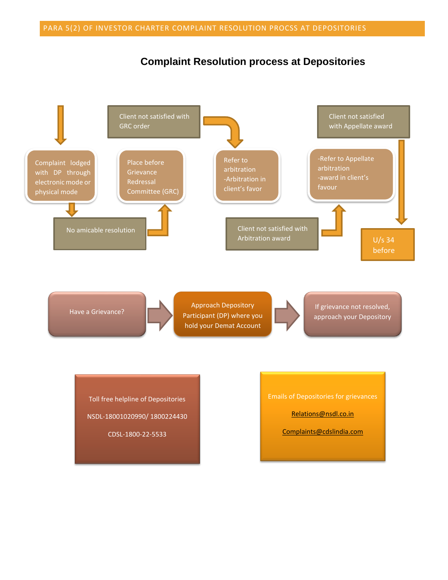## **Complaint Resolution process at Depositories**

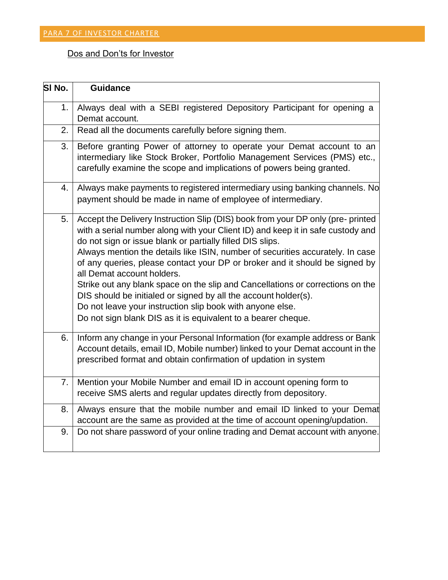## <span id="page-7-0"></span>Dos and Don'ts for Investor

| SI No. | <b>Guidance</b>                                                                                                                                                                                                                                                                                                                                                                                                                                                                                                                                                                                                                                                                                                   |
|--------|-------------------------------------------------------------------------------------------------------------------------------------------------------------------------------------------------------------------------------------------------------------------------------------------------------------------------------------------------------------------------------------------------------------------------------------------------------------------------------------------------------------------------------------------------------------------------------------------------------------------------------------------------------------------------------------------------------------------|
| 1.     | Always deal with a SEBI registered Depository Participant for opening a                                                                                                                                                                                                                                                                                                                                                                                                                                                                                                                                                                                                                                           |
|        | Demat account.                                                                                                                                                                                                                                                                                                                                                                                                                                                                                                                                                                                                                                                                                                    |
| 2.     | Read all the documents carefully before signing them.                                                                                                                                                                                                                                                                                                                                                                                                                                                                                                                                                                                                                                                             |
| 3.     | Before granting Power of attorney to operate your Demat account to an<br>intermediary like Stock Broker, Portfolio Management Services (PMS) etc.,<br>carefully examine the scope and implications of powers being granted.                                                                                                                                                                                                                                                                                                                                                                                                                                                                                       |
| 4.     | Always make payments to registered intermediary using banking channels. No<br>payment should be made in name of employee of intermediary.                                                                                                                                                                                                                                                                                                                                                                                                                                                                                                                                                                         |
| 5.     | Accept the Delivery Instruction Slip (DIS) book from your DP only (pre- printed<br>with a serial number along with your Client ID) and keep it in safe custody and<br>do not sign or issue blank or partially filled DIS slips.<br>Always mention the details like ISIN, number of securities accurately. In case<br>of any queries, please contact your DP or broker and it should be signed by<br>all Demat account holders.<br>Strike out any blank space on the slip and Cancellations or corrections on the<br>DIS should be initialed or signed by all the account holder(s).<br>Do not leave your instruction slip book with anyone else.<br>Do not sign blank DIS as it is equivalent to a bearer cheque. |
| 6.     | Inform any change in your Personal Information (for example address or Bank<br>Account details, email ID, Mobile number) linked to your Demat account in the<br>prescribed format and obtain confirmation of updation in system                                                                                                                                                                                                                                                                                                                                                                                                                                                                                   |
| 7.     | Mention your Mobile Number and email ID in account opening form to<br>receive SMS alerts and regular updates directly from depository.                                                                                                                                                                                                                                                                                                                                                                                                                                                                                                                                                                            |
| 8.     | Always ensure that the mobile number and email ID linked to your Demat<br>account are the same as provided at the time of account opening/updation.                                                                                                                                                                                                                                                                                                                                                                                                                                                                                                                                                               |
| 9.     | Do not share password of your online trading and Demat account with anyone.                                                                                                                                                                                                                                                                                                                                                                                                                                                                                                                                                                                                                                       |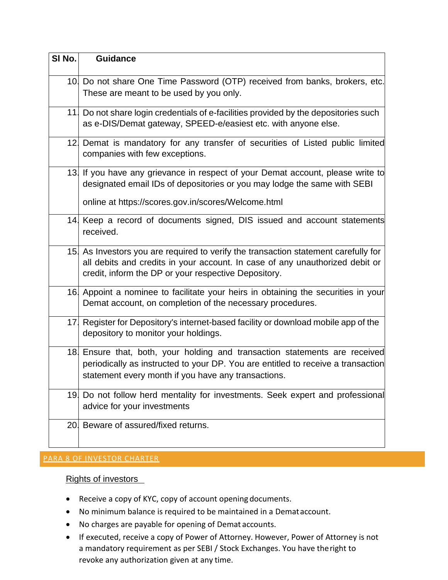| SI No. | <b>Guidance</b>                                                                                                                                                                                                            |
|--------|----------------------------------------------------------------------------------------------------------------------------------------------------------------------------------------------------------------------------|
|        | 10 Do not share One Time Password (OTP) received from banks, brokers, etc.<br>These are meant to be used by you only.                                                                                                      |
|        | 11. Do not share login credentials of e-facilities provided by the depositories such<br>as e-DIS/Demat gateway, SPEED-e/easiest etc. with anyone else.                                                                     |
|        | 12. Demat is mandatory for any transfer of securities of Listed public limited<br>companies with few exceptions.                                                                                                           |
|        | 13. If you have any grievance in respect of your Demat account, please write to<br>designated email IDs of depositories or you may lodge the same with SEBI<br>online at https://scores.gov.in/scores/Welcome.html         |
|        | 14. Keep a record of documents signed, DIS issued and account statements<br>received.                                                                                                                                      |
|        | 15 As Investors you are required to verify the transaction statement carefully for<br>all debits and credits in your account. In case of any unauthorized debit or<br>credit, inform the DP or your respective Depository. |
|        | 16. Appoint a nominee to facilitate your heirs in obtaining the securities in your<br>Demat account, on completion of the necessary procedures.                                                                            |
|        | 17 Register for Depository's internet-based facility or download mobile app of the<br>depository to monitor your holdings.                                                                                                 |
|        | 18 Ensure that, both, your holding and transaction statements are received<br>periodically as instructed to your DP. You are entitled to receive a transaction<br>statement every month if you have any transactions.      |
|        | 19 Do not follow herd mentality for investments. Seek expert and professional<br>advice for your investments                                                                                                               |
|        | 20 Beware of assured/fixed returns.                                                                                                                                                                                        |

# <span id="page-8-0"></span>PARA 8 OF INVESTOR CHARTER

#### Rights of investors

- Receive a copy of KYC, copy of account opening documents.
- No minimum balance is required to be maintained in a Demataccount.
- No charges are payable for opening of Demat accounts.
- If executed, receive a copy of Power of Attorney. However, Power of Attorney is not a mandatory requirement as per SEBI / Stock Exchanges. You have theright to revoke any authorization given at any time.